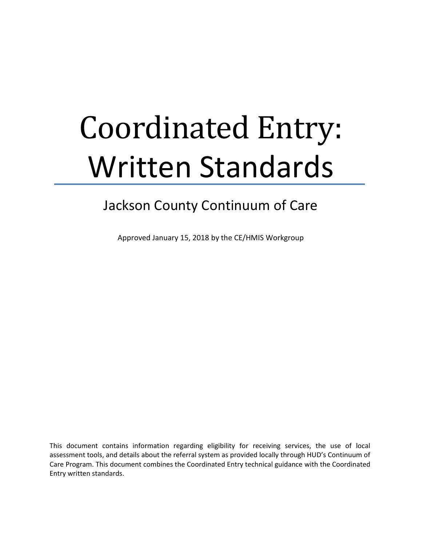# Coordinated Entry: Written Standards

# Jackson County Continuum of Care

Approved January 15, 2018 by the CE/HMIS Workgroup

This document contains information regarding eligibility for receiving services, the use of local assessment tools, and details about the referral system as provided locally through HUD's Continuum of Care Program. This document combines the Coordinated Entry technical guidance with the Coordinated Entry written standards.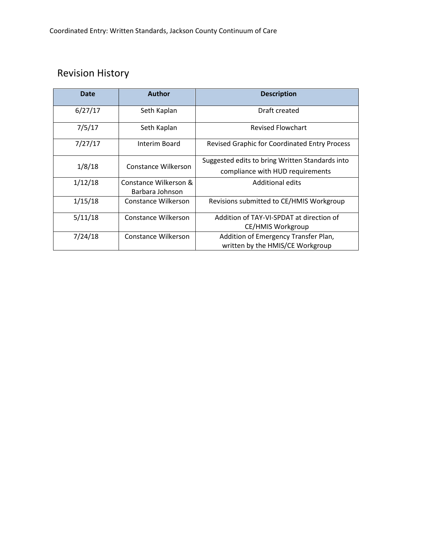# Revision History

| Date    | <b>Author</b>         | <b>Description</b>                                   |
|---------|-----------------------|------------------------------------------------------|
| 6/27/17 | Seth Kaplan           | Draft created                                        |
| 7/5/17  | Seth Kaplan           | <b>Revised Flowchart</b>                             |
| 7/27/17 | Interim Board         | <b>Revised Graphic for Coordinated Entry Process</b> |
| 1/8/18  | Constance Wilkerson   | Suggested edits to bring Written Standards into      |
|         |                       | compliance with HUD requirements                     |
| 1/12/18 | Constance Wilkerson & | <b>Additional edits</b>                              |
|         | Barbara Johnson       |                                                      |
| 1/15/18 | Constance Wilkerson   | Revisions submitted to CE/HMIS Workgroup             |
| 5/11/18 | Constance Wilkerson   | Addition of TAY-VI-SPDAT at direction of             |
|         |                       | CE/HMIS Workgroup                                    |
| 7/24/18 | Constance Wilkerson   | Addition of Emergency Transfer Plan,                 |
|         |                       | written by the HMIS/CE Workgroup                     |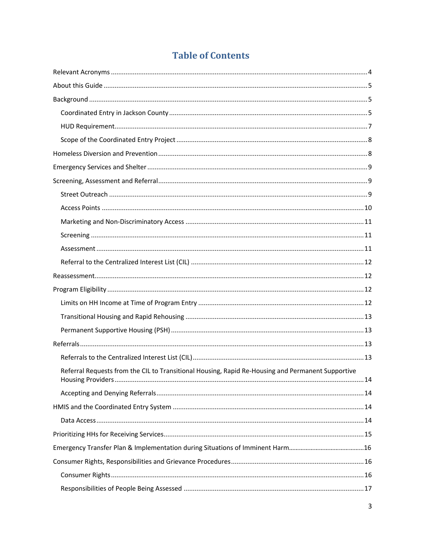# **Table of Contents**

| Referral Requests from the CIL to Transitional Housing, Rapid Re-Housing and Permanent Supportive |  |
|---------------------------------------------------------------------------------------------------|--|
|                                                                                                   |  |
|                                                                                                   |  |
|                                                                                                   |  |
|                                                                                                   |  |
|                                                                                                   |  |
|                                                                                                   |  |
|                                                                                                   |  |
|                                                                                                   |  |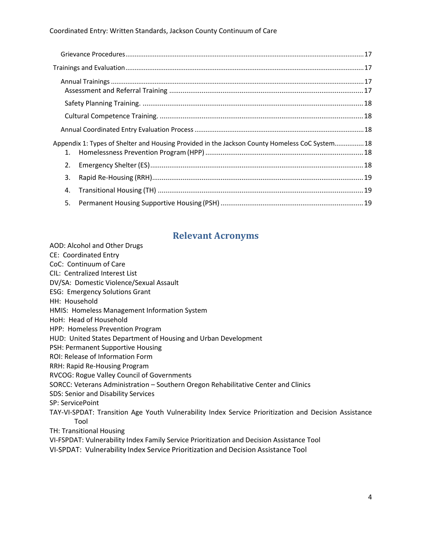#### Coordinated Entry: Written Standards, Jackson County Continuum of Care

| 1. | Appendix 1: Types of Shelter and Housing Provided in the Jackson County Homeless CoC System18 |  |
|----|-----------------------------------------------------------------------------------------------|--|
| 2. |                                                                                               |  |
| 3. |                                                                                               |  |
| 4. |                                                                                               |  |
| 5. |                                                                                               |  |

# **Relevant Acronyms**

AOD: Alcohol and Other Drugs

- CE: Coordinated Entry
- CoC: Continuum of Care
- CIL: Centralized Interest List
- DV/SA: Domestic Violence/Sexual Assault
- ESG: Emergency Solutions Grant
- HH: Household
- HMIS: Homeless Management Information System
- HoH: Head of Household
- HPP: Homeless Prevention Program
- HUD: United States Department of Housing and Urban Development
- PSH: Permanent Supportive Housing
- ROI: Release of Information Form
- RRH: Rapid Re-Housing Program
- RVCOG: Rogue Valley Council of Governments
- SORCC: Veterans Administration Southern Oregon Rehabilitative Center and Clinics
- SDS: Senior and Disability Services
- SP: ServicePoint
- TAY-VI-SPDAT: Transition Age Youth Vulnerability Index Service Prioritization and Decision Assistance Tool
- TH: Transitional Housing
- VI-FSPDAT: Vulnerability Index Family Service Prioritization and Decision Assistance Tool
- VI-SPDAT: Vulnerability Index Service Prioritization and Decision Assistance Tool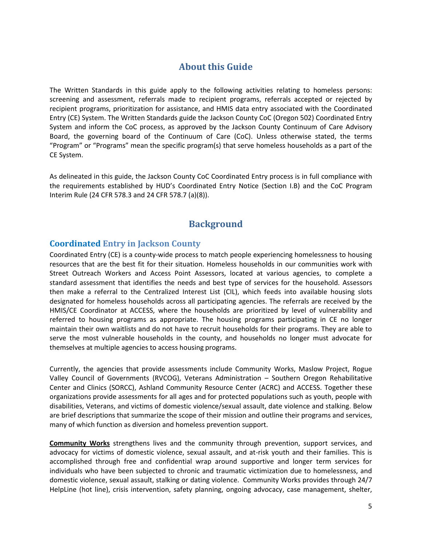# **About this Guide**

The Written Standards in this guide apply to the following activities relating to homeless persons: screening and assessment, referrals made to recipient programs, referrals accepted or rejected by recipient programs, prioritization for assistance, and HMIS data entry associated with the Coordinated Entry (CE) System. The Written Standards guide the Jackson County CoC (Oregon 502) Coordinated Entry System and inform the CoC process, as approved by the Jackson County Continuum of Care Advisory Board, the governing board of the Continuum of Care (CoC). Unless otherwise stated, the terms "Program" or "Programs" mean the specific program(s) that serve homeless households as a part of the CE System.

As delineated in this guide, the Jackson County CoC Coordinated Entry process is in full compliance with the requirements established by HUD's Coordinated Entry Notice (Section I.B) and the CoC Program Interim Rule (24 CFR 578.3 and 24 CFR 578.7 (a)(8)).

# **Background**

#### **Coordinated Entry in Jackson County**

Coordinated Entry (CE) is a county-wide process to match people experiencing homelessness to housing resources that are the best fit for their situation. Homeless households in our communities work with Street Outreach Workers and Access Point Assessors, located at various agencies, to complete a standard assessment that identifies the needs and best type of services for the household. Assessors then make a referral to the Centralized Interest List (CIL), which feeds into available housing slots designated for homeless households across all participating agencies. The referrals are received by the HMIS/CE Coordinator at ACCESS, where the households are prioritized by level of vulnerability and referred to housing programs as appropriate. The housing programs participating in CE no longer maintain their own waitlists and do not have to recruit households for their programs. They are able to serve the most vulnerable households in the county, and households no longer must advocate for themselves at multiple agencies to access housing programs.

Currently, the agencies that provide assessments include Community Works, Maslow Project, Rogue Valley Council of Governments (RVCOG), Veterans Administration – Southern Oregon Rehabilitative Center and Clinics (SORCC), Ashland Community Resource Center (ACRC) and ACCESS. Together these organizations provide assessments for all ages and for protected populations such as youth, people with disabilities, Veterans, and victims of domestic violence/sexual assault, date violence and stalking. Below are brief descriptions that summarize the scope of their mission and outline their programs and services, many of which function as diversion and homeless prevention support.

**Community Works** strengthens lives and the community through prevention, support services, and advocacy for victims of domestic violence, sexual assault, and at-risk youth and their families. This is accomplished through free and confidential wrap around supportive and longer term services for individuals who have been subjected to chronic and traumatic victimization due to homelessness, and domestic violence, sexual assault, stalking or dating violence. Community Works provides through 24/7 HelpLine (hot line), crisis intervention, safety planning, ongoing advocacy, case management, shelter,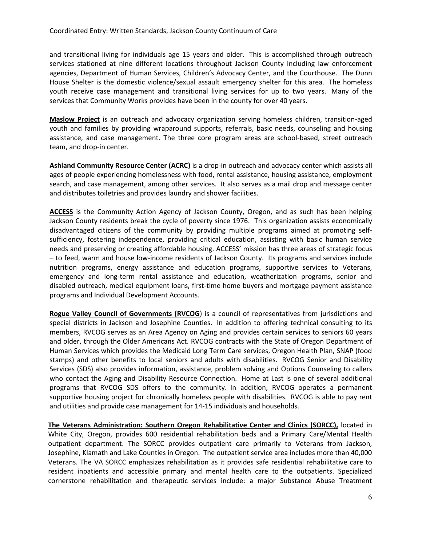and transitional living for individuals age 15 years and older. This is accomplished through outreach services stationed at nine different locations throughout Jackson County including law enforcement agencies, Department of Human Services, Children's Advocacy Center, and the Courthouse. The Dunn House Shelter is the domestic violence/sexual assault emergency shelter for this area. The homeless youth receive case management and transitional living services for up to two years. Many of the services that Community Works provides have been in the county for over 40 years.

**Maslow Project** is an outreach and advocacy organization serving homeless children, transition-aged youth and families by providing wraparound supports, referrals, basic needs, counseling and housing assistance, and case management. The three core program areas are school-based, street outreach team, and drop-in center.

**Ashland Community Resource Center (ACRC)** is a drop-in outreach and advocacy center which assists all ages of people experiencing homelessness with food, rental assistance, housing assistance, employment search, and case management, among other services. It also serves as a mail drop and message center and distributes toiletries and provides laundry and shower facilities.

**ACCESS** is the Community Action Agency of Jackson County, Oregon, and as such has been helping Jackson County residents break the cycle of poverty since 1976. This organization assists economically disadvantaged citizens of the community by providing multiple programs aimed at promoting selfsufficiency, fostering independence, providing critical education, assisting with basic human service needs and preserving or creating affordable housing. ACCESS' mission has three areas of strategic focus – to feed, warm and house low-income residents of Jackson County. Its programs and services include nutrition programs, energy assistance and education programs, supportive services to Veterans, emergency and long-term rental assistance and education, weatherization programs, senior and disabled outreach, medical equipment loans, first-time home buyers and mortgage payment assistance programs and Individual Development Accounts.

**Rogue Valley Council of Governments (RVCOG**) is a council of representatives from jurisdictions and special districts in Jackson and Josephine Counties. In addition to offering technical consulting to its members, RVCOG serves as an Area Agency on Aging and provides certain services to seniors 60 years and older, through the Older Americans Act. RVCOG contracts with the State of Oregon Department of Human Services which provides the Medicaid Long Term Care services, Oregon Health Plan, SNAP (food stamps) and other benefits to local seniors and adults with disabilities. RVCOG Senior and Disability Services (SDS) also provides information, assistance, problem solving and Options Counseling to callers who contact the Aging and Disability Resource Connection. Home at Last is one of several additional programs that RVCOG SDS offers to the community. In addition, RVCOG operates a permanent supportive housing project for chronically homeless people with disabilities. RVCOG is able to pay rent and utilities and provide case management for 14-15 individuals and households.

**The Veterans Administration: Southern Oregon Rehabilitative Center and Clinics (SORCC),** located in White City, Oregon, provides 600 residential rehabilitation beds and a Primary Care/Mental Health outpatient department. The SORCC provides outpatient care primarily to Veterans from Jackson, Josephine, Klamath and Lake Counties in Oregon. The outpatient service area includes more than 40,000 Veterans. The VA SORCC emphasizes rehabilitation as it provides safe residential rehabilitative care to resident inpatients and accessible primary and mental health care to the outpatients. Specialized cornerstone rehabilitation and therapeutic services include: a major Substance Abuse Treatment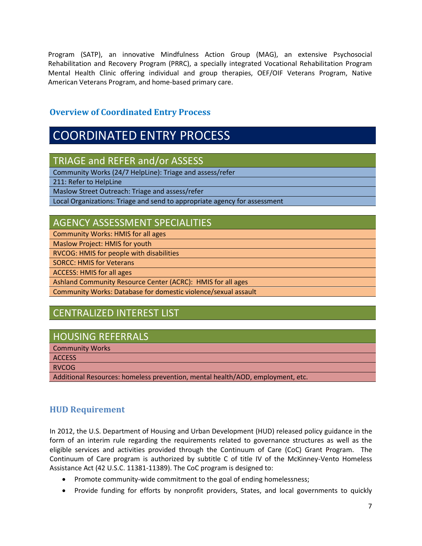Program (SATP), an innovative Mindfulness Action Group (MAG), an extensive Psychosocial Rehabilitation and Recovery Program (PRRC), a specially integrated Vocational Rehabilitation Program Mental Health Clinic offering individual and group therapies, OEF/OIF Veterans Program, Native American Veterans Program, and home-based primary care.

# **Overview of Coordinated Entry Process**

# COORDINATED ENTRY PROCESS

TRIAGE and REFER and/or ASSESS

Community Works (24/7 HelpLine): Triage and assess/refer

211: Refer to HelpLine

Maslow Street Outreach: Triage and assess/refer

Local Organizations: Triage and send to appropriate agency for assessment

# AGENCY ASSESSMENT SPECIALITIES

Community Works: HMIS for all ages

Maslow Project: HMIS for youth

RVCOG: HMIS for people with disabilities

SORCC: HMIS for Veterans

ACCESS: HMIS for all ages

Ashland Community Resource Center (ACRC): HMIS for all ages

Community Works: Database for domestic violence/sexual assault

# CENTRALIZED INTEREST LIST

# HOUSING REFERRALS

Community Works

**ACCESS** 

RVCOG

Additional Resources: homeless prevention, mental health/AOD, employment, etc.

# **HUD Requirement**

In 2012, the U.S. Department of Housing and Urban Development (HUD) released policy guidance in the form of an interim rule regarding the requirements related to governance structures as well as the eligible services and activities provided through the Continuum of Care (CoC) Grant Program. The Continuum of Care program is authorized by subtitle C of title IV of the McKinney-Vento Homeless Assistance Act (42 U.S.C. 11381-11389). The CoC program is designed to:

- Promote community-wide commitment to the goal of ending homelessness;
- Provide funding for efforts by nonprofit providers, States, and local governments to quickly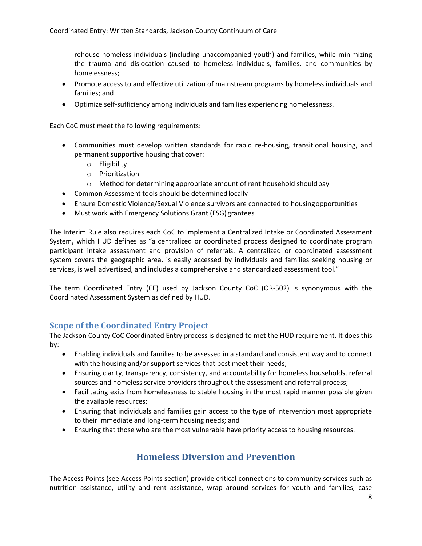rehouse homeless individuals (including unaccompanied youth) and families, while minimizing the trauma and dislocation caused to homeless individuals, families, and communities by homelessness;

- Promote access to and effective utilization of mainstream programs by homeless individuals and families; and
- Optimize self-sufficiency among individuals and families experiencing homelessness.

Each CoC must meet the following requirements:

- Communities must develop written standards for rapid re-housing, transitional housing, and permanent supportive housing that cover:
	- o Eligibility
	- o Prioritization
	- o Method for determining appropriate amount of rent household shouldpay
- Common Assessment tools should be determined locally
- Ensure Domestic Violence/Sexual Violence survivors are connected to housingopportunities
- Must work with Emergency Solutions Grant (ESG) grantees

The Interim Rule also requires each CoC to implement a Centralized Intake or Coordinated Assessment System**,** which HUD defines as "a centralized or coordinated process designed to coordinate program participant intake assessment and provision of referrals. A centralized or coordinated assessment system covers the geographic area, is easily accessed by individuals and families seeking housing or services, is well advertised, and includes a comprehensive and standardized assessment tool."

The term Coordinated Entry (CE) used by Jackson County CoC (OR-502) is synonymous with the Coordinated Assessment System as defined by HUD.

#### **Scope of the Coordinated Entry Project**

The Jackson County CoC Coordinated Entry process is designed to met the HUD requirement. It does this by:

- Enabling individuals and families to be assessed in a standard and consistent way and to connect with the housing and/or support services that best meet their needs;
- Ensuring clarity, transparency, consistency, and accountability for homeless households, referral sources and homeless service providers throughout the assessment and referral process;
- Facilitating exits from homelessness to stable housing in the most rapid manner possible given the available resources;
- Ensuring that individuals and families gain access to the type of intervention most appropriate to their immediate and long-term housing needs; and
- Ensuring that those who are the most vulnerable have priority access to housing resources.

# **Homeless Diversion and Prevention**

The Access Points (see Access Points section) provide critical connections to community services such as nutrition assistance, utility and rent assistance, wrap around services for youth and families, case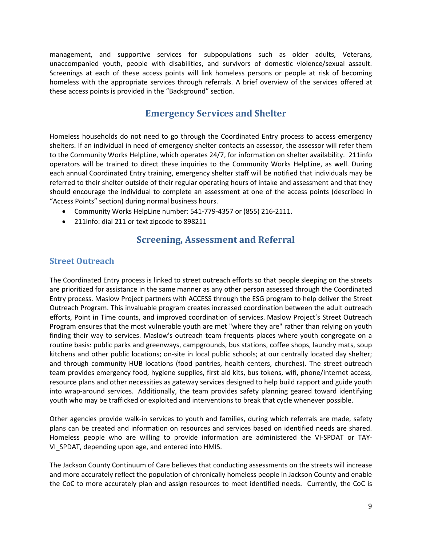management, and supportive services for subpopulations such as older adults, Veterans, unaccompanied youth, people with disabilities, and survivors of domestic violence/sexual assault. Screenings at each of these access points will link homeless persons or people at risk of becoming homeless with the appropriate services through referrals. A brief overview of the services offered at these access points is provided in the "Background" section.

# **Emergency Services and Shelter**

Homeless households do not need to go through the Coordinated Entry process to access emergency shelters. If an individual in need of emergency shelter contacts an assessor, the assessor will refer them to the Community Works HelpLine, which operates 24/7, for information on shelter availability. 211info operators will be trained to direct these inquiries to the Community Works HelpLine, as well. During each annual Coordinated Entry training, emergency shelter staff will be notified that individuals may be referred to their shelter outside of their regular operating hours of intake and assessment and that they should encourage the individual to complete an assessment at one of the access points (described in "Access Points" section) during normal business hours.

- Community Works HelpLine number: 541-779-4357 or (855) 216-2111.
- 211info: dial 211 or text zipcode to 898211

# **Screening, Assessment and Referral**

#### **Street Outreach**

The Coordinated Entry process is linked to street outreach efforts so that people sleeping on the streets are prioritized for assistance in the same manner as any other person assessed through the Coordinated Entry process. Maslow Project partners with ACCESS through the ESG program to help deliver the Street Outreach Program. This invaluable program creates increased coordination between the adult outreach efforts, Point in Time counts, and improved coordination of services. Maslow Project's Street Outreach Program ensures that the most vulnerable youth are met "where they are" rather than relying on youth finding their way to services. Maslow's outreach team frequents places where youth congregate on a routine basis: public parks and greenways, campgrounds, bus stations, coffee shops, laundry mats, soup kitchens and other public locations; on-site in local public schools; at our centrally located day shelter; and through community HUB locations (food pantries, health centers, churches). The street outreach team provides emergency food, hygiene supplies, first aid kits, bus tokens, wifi, phone/internet access, resource plans and other necessities as gateway services designed to help build rapport and guide youth into wrap-around services. Additionally, the team provides safety planning geared toward identifying youth who may be trafficked or exploited and interventions to break that cycle whenever possible.

Other agencies provide walk-in services to youth and families, during which referrals are made, safety plans can be created and information on resources and services based on identified needs are shared. Homeless people who are willing to provide information are administered the VI-SPDAT or TAY-VI\_SPDAT, depending upon age, and entered into HMIS.

The Jackson County Continuum of Care believes that conducting assessments on the streets will increase and more accurately reflect the population of chronically homeless people in Jackson County and enable the CoC to more accurately plan and assign resources to meet identified needs. Currently, the CoC is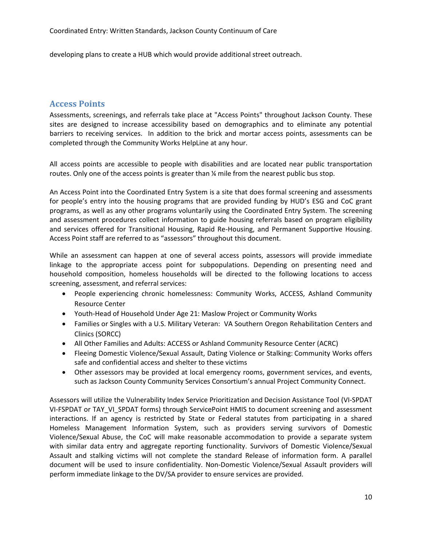developing plans to create a HUB which would provide additional street outreach.

#### **Access Points**

Assessments, screenings, and referrals take place at "Access Points" throughout Jackson County. These sites are designed to increase accessibility based on demographics and to eliminate any potential barriers to receiving services. In addition to the brick and mortar access points, assessments can be completed through the Community Works HelpLine at any hour.

All access points are accessible to people with disabilities and are located near public transportation routes. Only one of the access points is greater than  $\frac{1}{2}$  mile from the nearest public bus stop.

An Access Point into the Coordinated Entry System is a site that does formal screening and assessments for people's entry into the housing programs that are provided funding by HUD's ESG and CoC grant programs, as well as any other programs voluntarily using the Coordinated Entry System. The screening and assessment procedures collect information to guide housing referrals based on program eligibility and services offered for Transitional Housing, Rapid Re-Housing, and Permanent Supportive Housing. Access Point staff are referred to as "assessors" throughout this document.

While an assessment can happen at one of several access points, assessors will provide immediate linkage to the appropriate access point for subpopulations. Depending on presenting need and household composition, homeless households will be directed to the following locations to access screening, assessment, and referral services:

- People experiencing chronic homelessness: Community Works, ACCESS, Ashland Community Resource Center
- Youth-Head of Household Under Age 21: Maslow Project or Community Works
- Families or Singles with a U.S. Military Veteran: VA Southern Oregon Rehabilitation Centers and Clinics (SORCC)
- All Other Families and Adults: ACCESS or Ashland Community Resource Center (ACRC)
- Fleeing Domestic Violence/Sexual Assault, Dating Violence or Stalking: Community Works offers safe and confidential access and shelter to these victims
- Other assessors may be provided at local emergency rooms, government services, and events, such as Jackson County Community Services Consortium's annual Project Community Connect.

Assessors will utilize the Vulnerability Index Service Prioritization and Decision Assistance Tool (VI-SPDAT VI-FSPDAT or TAY\_VI\_SPDAT forms) through ServicePoint HMIS to document screening and assessment interactions. If an agency is restricted by State or Federal statutes from participating in a shared Homeless Management Information System, such as providers serving survivors of Domestic Violence/Sexual Abuse, the CoC will make reasonable accommodation to provide a separate system with similar data entry and aggregate reporting functionality. Survivors of Domestic Violence/Sexual Assault and stalking victims will not complete the standard Release of information form. A parallel document will be used to insure confidentiality. Non-Domestic Violence/Sexual Assault providers will perform immediate linkage to the DV/SA provider to ensure services are provided.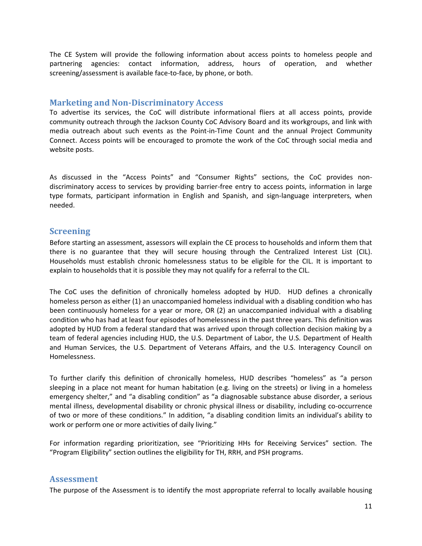The CE System will provide the following information about access points to homeless people and partnering agencies: contact information, address, hours of operation, and whether screening/assessment is available face-to-face, by phone, or both.

#### **Marketing and Non-Discriminatory Access**

To advertise its services, the CoC will distribute informational fliers at all access points, provide community outreach through the Jackson County CoC Advisory Board and its workgroups, and link with media outreach about such events as the Point-in-Time Count and the annual Project Community Connect. Access points will be encouraged to promote the work of the CoC through social media and website posts.

As discussed in the "Access Points" and "Consumer Rights" sections, the CoC provides nondiscriminatory access to services by providing barrier-free entry to access points, information in large type formats, participant information in English and Spanish, and sign-language interpreters, when needed.

#### **Screening**

Before starting an assessment, assessors will explain the CE process to households and inform them that there is no guarantee that they will secure housing through the Centralized Interest List (CIL). Households must establish chronic homelessness status to be eligible for the CIL. It is important to explain to households that it is possible they may not qualify for a referral to the CIL.

The CoC uses the definition of chronically homeless adopted by HUD. HUD defines a chronically homeless person as either (1) an unaccompanied homeless individual with a disabling condition who has been continuously homeless for a year or more, OR (2) an unaccompanied individual with a disabling condition who has had at least four episodes of homelessness in the past three years. This definition was adopted by HUD from a federal standard that was arrived upon through collection decision making by a team of federal agencies including HUD, the U.S. Department of Labor, the U.S. Department of Health and Human Services, the U.S. Department of Veterans Affairs, and the U.S. Interagency Council on Homelessness.

To further clarify this definition of chronically homeless, HUD describes "homeless" as "a person sleeping in a place not meant for human habitation (e.g. living on the streets) or living in a homeless emergency shelter," and "a disabling condition" as "a diagnosable substance abuse disorder, a serious mental illness, developmental disability or chronic physical illness or disability, including co-occurrence of two or more of these conditions." In addition, "a disabling condition limits an individual's ability to work or perform one or more activities of daily living."

For information regarding prioritization, see "Prioritizing HHs for Receiving Services" section. The "Program Eligibility" section outlines the eligibility for TH, RRH, and PSH programs.

#### **Assessment**

The purpose of the Assessment is to identify the most appropriate referral to locally available housing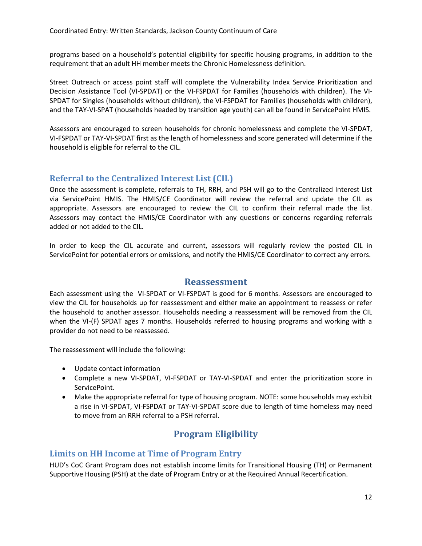programs based on a household's potential eligibility for specific housing programs, in addition to the requirement that an adult HH member meets the Chronic Homelessness definition.

Street Outreach or access point staff will complete the Vulnerability Index Service Prioritization and Decision Assistance Tool (VI-SPDAT) or the VI-FSPDAT for Families (households with children). The VI-SPDAT for Singles (households without children), the VI-FSPDAT for Families (households with children), and the TAY-VI-SPAT (households headed by transition age youth) can all be found in ServicePoint HMIS.

Assessors are encouraged to screen households for chronic homelessness and complete the VI-SPDAT, VI-FSPDAT or TAY-VI-SPDAT first as the length of homelessness and score generated will determine if the household is eligible for referral to the CIL.

## **Referral to the Centralized Interest List (CIL)**

Once the assessment is complete, referrals to TH, RRH, and PSH will go to the Centralized Interest List via ServicePoint HMIS. The HMIS/CE Coordinator will review the referral and update the CIL as appropriate. Assessors are encouraged to review the CIL to confirm their referral made the list. Assessors may contact the HMIS/CE Coordinator with any questions or concerns regarding referrals added or not added to the CIL.

In order to keep the CIL accurate and current, assessors will regularly review the posted CIL in ServicePoint for potential errors or omissions, and notify the HMIS/CE Coordinator to correct any errors.

#### **Reassessment**

Each assessment using the VI-SPDAT or VI-FSPDAT is good for 6 months. Assessors are encouraged to view the CIL for households up for reassessment and either make an appointment to reassess or refer the household to another assessor. Households needing a reassessment will be removed from the CIL when the VI-(F) SPDAT ages 7 months. Households referred to housing programs and working with a provider do not need to be reassessed.

The reassessment will include the following:

- Update contact information
- Complete a new VI-SPDAT, VI-FSPDAT or TAY-VI-SPDAT and enter the prioritization score in ServicePoint.
- Make the appropriate referral for type of housing program. NOTE: some households may exhibit a rise in VI-SPDAT, VI-FSPDAT or TAY-VI-SPDAT score due to length of time homeless may need to move from an RRH referral to a PSH referral.

# **Program Eligibility**

#### **Limits on HH Income at Time of Program Entry**

HUD's CoC Grant Program does not establish income limits for Transitional Housing (TH) or Permanent Supportive Housing (PSH) at the date of Program Entry or at the Required Annual Recertification.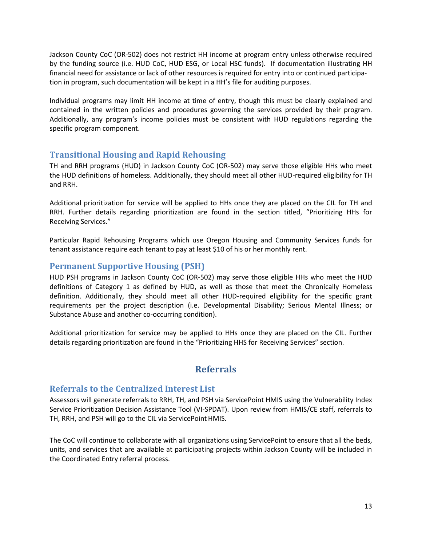Jackson County CoC (OR-502) does not restrict HH income at program entry unless otherwise required by the funding source (i.e. HUD CoC, HUD ESG, or Local HSC funds). If documentation illustrating HH financial need for assistance or lack of other resources is required for entry into or continued participation in program, such documentation will be kept in a HH's file for auditing purposes.

Individual programs may limit HH income at time of entry, though this must be clearly explained and contained in the written policies and procedures governing the services provided by their program. Additionally, any program's income policies must be consistent with HUD regulations regarding the specific program component.

# **Transitional Housing and Rapid Rehousing**

TH and RRH programs (HUD) in Jackson County CoC (OR-502) may serve those eligible HHs who meet the HUD definitions of homeless. Additionally, they should meet all other HUD-required eligibility for TH and RRH.

Additional prioritization for service will be applied to HHs once they are placed on the CIL for TH and RRH. Further details regarding prioritization are found in the section titled, "Prioritizing HHs for Receiving Services."

Particular Rapid Rehousing Programs which use Oregon Housing and Community Services funds for tenant assistance require each tenant to pay at least \$10 of his or her monthly rent.

# **Permanent Supportive Housing (PSH)**

HUD PSH programs in Jackson County CoC (OR-502) may serve those eligible HHs who meet the HUD definitions of Category 1 as defined by HUD, as well as those that meet the Chronically Homeless definition. Additionally, they should meet all other HUD-required eligibility for the specific grant requirements per the project description (i.e. Developmental Disability; Serious Mental Illness; or Substance Abuse and another co-occurring condition).

Additional prioritization for service may be applied to HHs once they are placed on the CIL. Further details regarding prioritization are found in the "Prioritizing HHS for Receiving Services" section.

# **Referrals**

#### **Referrals to the Centralized Interest List**

Assessors will generate referrals to RRH, TH, and PSH via ServicePoint HMIS using the Vulnerability Index Service Prioritization Decision Assistance Tool (VI-SPDAT). Upon review from HMIS/CE staff, referrals to TH, RRH, and PSH will go to the CIL via ServicePoint HMIS.

The CoC will continue to collaborate with all organizations using ServicePoint to ensure that all the beds, units, and services that are available at participating projects within Jackson County will be included in the Coordinated Entry referral process.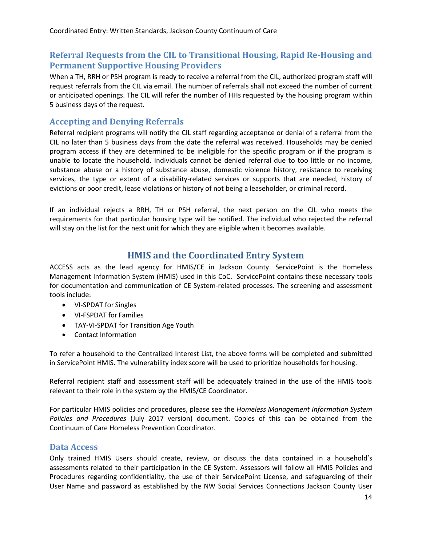# **Referral Requests from the CIL to Transitional Housing, Rapid Re-Housing and Permanent Supportive Housing Providers**

When a TH, RRH or PSH program is ready to receive a referral from the CIL, authorized program staff will request referrals from the CIL via email. The number of referrals shall not exceed the number of current or anticipated openings. The CIL will refer the number of HHs requested by the housing program within 5 business days of the request.

#### **Accepting and Denying Referrals**

Referral recipient programs will notify the CIL staff regarding acceptance or denial of a referral from the CIL no later than 5 business days from the date the referral was received. Households may be denied program access if they are determined to be ineligible for the specific program or if the program is unable to locate the household. Individuals cannot be denied referral due to too little or no income, substance abuse or a history of substance abuse, domestic violence history, resistance to receiving services, the type or extent of a disability-related services or supports that are needed, history of evictions or poor credit, lease violations or history of not being a leaseholder, or criminal record.

If an individual rejects a RRH, TH or PSH referral, the next person on the CIL who meets the requirements for that particular housing type will be notified. The individual who rejected the referral will stay on the list for the next unit for which they are eligible when it becomes available.

# **HMIS and the Coordinated Entry System**

ACCESS acts as the lead agency for HMIS/CE in Jackson County. ServicePoint is the Homeless Management Information System (HMIS) used in this CoC. ServicePoint contains these necessary tools for documentation and communication of CE System-related processes. The screening and assessment tools include:

- VI-SPDAT for Singles
- VI-FSPDAT for Families
- TAY-VI-SPDAT for Transition Age Youth
- Contact Information

To refer a household to the Centralized Interest List, the above forms will be completed and submitted in ServicePoint HMIS. The vulnerability index score will be used to prioritize households for housing.

Referral recipient staff and assessment staff will be adequately trained in the use of the HMIS tools relevant to their role in the system by the HMIS/CE Coordinator.

For particular HMIS policies and procedures, please see the *Homeless Management Information System Policies and Procedures* (July 2017 version) document. Copies of this can be obtained from the Continuum of Care Homeless Prevention Coordinator.

#### **Data Access**

Only trained HMIS Users should create, review, or discuss the data contained in a household's assessments related to their participation in the CE System. Assessors will follow all HMIS Policies and Procedures regarding confidentiality, the use of their ServicePoint License, and safeguarding of their User Name and password as established by the NW Social Services Connections Jackson County User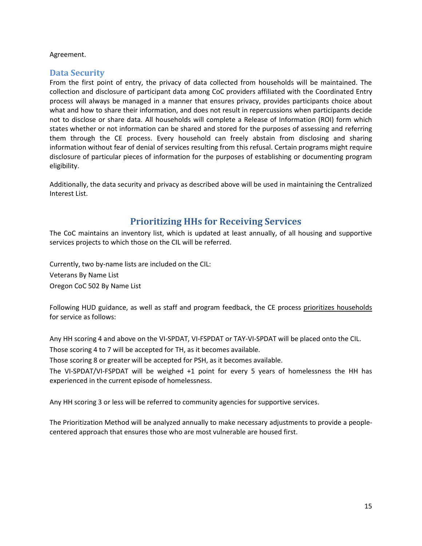#### Agreement.

## **Data Security**

From the first point of entry, the privacy of data collected from households will be maintained. The collection and disclosure of participant data among CoC providers affiliated with the Coordinated Entry process will always be managed in a manner that ensures privacy, provides participants choice about what and how to share their information, and does not result in repercussions when participants decide not to disclose or share data. All households will complete a Release of Information (ROI) form which states whether or not information can be shared and stored for the purposes of assessing and referring them through the CE process. Every household can freely abstain from disclosing and sharing information without fear of denial of services resulting from this refusal. Certain programs might require disclosure of particular pieces of information for the purposes of establishing or documenting program eligibility.

Additionally, the data security and privacy as described above will be used in maintaining the Centralized Interest List.

# **Prioritizing HHs for Receiving Services**

The CoC maintains an inventory list, which is updated at least annually, of all housing and supportive services projects to which those on the CIL will be referred.

Currently, two by-name lists are included on the CIL: Veterans By Name List Oregon CoC 502 By Name List

Following HUD guidance, as well as staff and program feedback, the CE process prioritizes households for service as follows:

Any HH scoring 4 and above on the VI-SPDAT, VI-FSPDAT or TAY-VI-SPDAT will be placed onto the CIL. Those scoring 4 to 7 will be accepted for TH, as it becomes available.

Those scoring 8 or greater will be accepted for PSH, as it becomes available.

The VI-SPDAT/VI-FSPDAT will be weighed +1 point for every 5 years of homelessness the HH has experienced in the current episode of homelessness.

Any HH scoring 3 or less will be referred to community agencies for supportive services.

The Prioritization Method will be analyzed annually to make necessary adjustments to provide a peoplecentered approach that ensures those who are most vulnerable are housed first.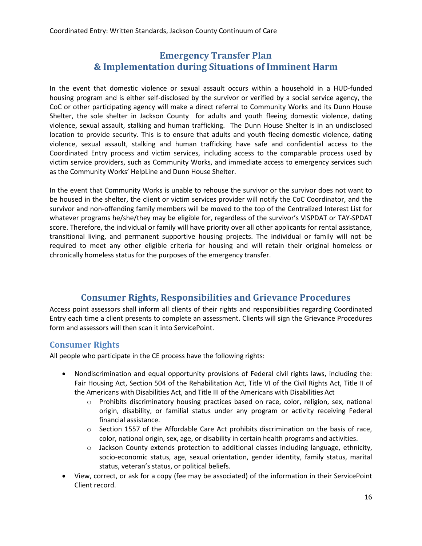# **Emergency Transfer Plan & Implementation during Situations of Imminent Harm**

In the event that domestic violence or sexual assault occurs within a household in a HUD-funded housing program and is either self-disclosed by the survivor or verified by a social service agency, the CoC or other participating agency will make a direct referral to Community Works and its Dunn House Shelter, the sole shelter in Jackson County for adults and youth fleeing domestic violence, dating violence, sexual assault, stalking and human trafficking. The Dunn House Shelter is in an undisclosed location to provide security. This is to ensure that adults and youth fleeing domestic violence, dating violence, sexual assault, stalking and human trafficking have safe and confidential access to the Coordinated Entry process and victim services, including access to the comparable process used by victim service providers, such as Community Works, and immediate access to emergency services such as the Community Works' HelpLine and Dunn House Shelter.

In the event that Community Works is unable to rehouse the survivor or the survivor does not want to be housed in the shelter, the client or victim services provider will notify the CoC Coordinator, and the survivor and non-offending family members will be moved to the top of the Centralized Interest List for whatever programs he/she/they may be eligible for, regardless of the survivor's VISPDAT or TAY-SPDAT score. Therefore, the individual or family will have priority over all other applicants for rental assistance, transitional living, and permanent supportive housing projects. The individual or family will not be required to meet any other eligible criteria for housing and will retain their original homeless or chronically homeless status for the purposes of the emergency transfer.

# **Consumer Rights, Responsibilities and Grievance Procedures**

Access point assessors shall inform all clients of their rights and responsibilities regarding Coordinated Entry each time a client presents to complete an assessment. Clients will sign the Grievance Procedures form and assessors will then scan it into ServicePoint.

# **Consumer Rights**

All people who participate in the CE process have the following rights:

- Nondiscrimination and equal opportunity provisions of Federal civil rights laws, including the: Fair Housing Act, Section 504 of the Rehabilitation Act, Title VI of the Civil Rights Act, Title II of the Americans with Disabilities Act, and Title III of the Americans with Disabilities Act
	- o Prohibits discriminatory housing practices based on race, color, religion, sex, national origin, disability, or familial status under any program or activity receiving Federal financial assistance.
	- $\circ$  Section 1557 of the Affordable Care Act prohibits discrimination on the basis of race, color, national origin, sex, age, or disability in certain health programs and activities.
	- o Jackson County extends protection to additional classes including language, ethnicity, socio-economic status, age, sexual orientation, gender identity, family status, marital status, veteran's status, or political beliefs.
- View, correct, or ask for a copy (fee may be associated) of the information in their ServicePoint Client record.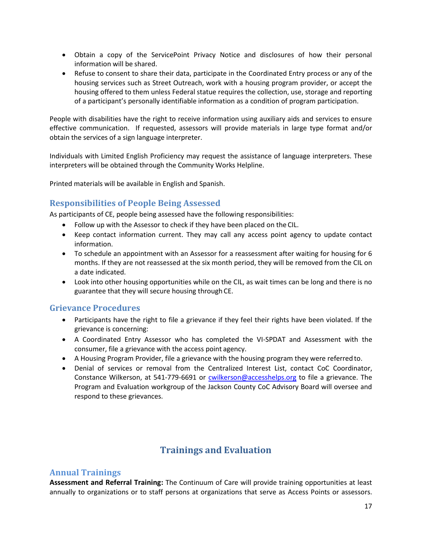- Obtain a copy of the ServicePoint Privacy Notice and disclosures of how their personal information will be shared.
- Refuse to consent to share their data, participate in the Coordinated Entry process or any of the housing services such as Street Outreach, work with a housing program provider, or accept the housing offered to them unless Federal statue requires the collection, use, storage and reporting of a participant's personally identifiable information as a condition of program participation.

People with disabilities have the right to receive information using auxiliary aids and services to ensure effective communication. If requested, assessors will provide materials in large type format and/or obtain the services of a sign language interpreter.

Individuals with Limited English Proficiency may request the assistance of language interpreters. These interpreters will be obtained through the Community Works Helpline.

Printed materials will be available in English and Spanish.

## **Responsibilities of People Being Assessed**

As participants of CE, people being assessed have the following responsibilities:

- Follow up with the Assessor to check if they have been placed on the CIL.
- Keep contact information current. They may call any access point agency to update contact information.
- To schedule an appointment with an Assessor for a reassessment after waiting for housing for 6 months. If they are not reassessed at the six month period, they will be removed from the CIL on a date indicated.
- Look into other housing opportunities while on the CIL, as wait times can be long and there is no guarantee that they will secure housing through CE.

#### **Grievance Procedures**

- Participants have the right to file a grievance if they feel their rights have been violated. If the grievance is concerning:
- A Coordinated Entry Assessor who has completed the VI-SPDAT and Assessment with the consumer, file a grievance with the access point agency.
- A Housing Program Provider, file a grievance with the housing program they were referred to.
- Denial of services or removal from the Centralized Interest List, contact CoC Coordinator, Constance Wilkerson, at 541-779-6691 or [cwilkerson@accesshelps.org](mailto:cwilkerson@accesshelps.org) to file a grievance. The Program and Evaluation workgroup of the Jackson County CoC Advisory Board will oversee and respond to these grievances.

# **Trainings and Evaluation**

#### **Annual Trainings**

**Assessment and Referral Training:** The Continuum of Care will provide training opportunities at least annually to organizations or to staff persons at organizations that serve as Access Points or assessors.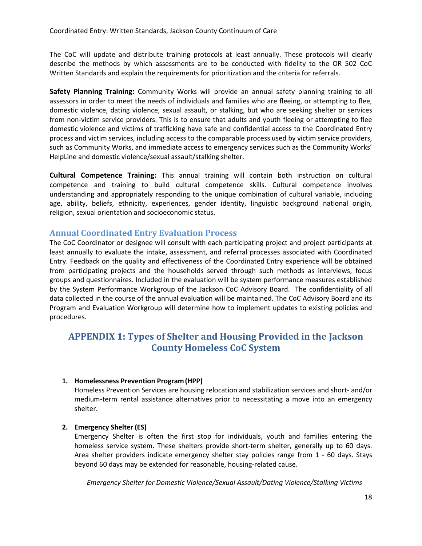The CoC will update and distribute training protocols at least annually. These protocols will clearly describe the methods by which assessments are to be conducted with fidelity to the OR 502 CoC Written Standards and explain the requirements for prioritization and the criteria for referrals.

**Safety Planning Training:** Community Works will provide an annual safety planning training to all assessors in order to meet the needs of individuals and families who are fleeing, or attempting to flee, domestic violence, dating violence, sexual assault, or stalking, but who are seeking shelter or services from non-victim service providers. This is to ensure that adults and youth fleeing or attempting to flee domestic violence and victims of trafficking have safe and confidential access to the Coordinated Entry process and victim services, including access to the comparable process used by victim service providers, such as Community Works, and immediate access to emergency services such as the Community Works' HelpLine and domestic violence/sexual assault/stalking shelter.

**Cultural Competence Training:** This annual training will contain both instruction on cultural competence and training to build cultural competence skills. Cultural competence involves understanding and appropriately responding to the unique combination of cultural variable, including age, ability, beliefs, ethnicity, experiences, gender identity, linguistic background national origin, religion, sexual orientation and socioeconomic status.

#### **Annual Coordinated Entry Evaluation Process**

The CoC Coordinator or designee will consult with each participating project and project participants at least annually to evaluate the intake, assessment, and referral processes associated with Coordinated Entry. Feedback on the quality and effectiveness of the Coordinated Entry experience will be obtained from participating projects and the households served through such methods as interviews, focus groups and questionnaires. Included in the evaluation will be system performance measures established by the System Performance Workgroup of the Jackson CoC Advisory Board. The confidentiality of all data collected in the course of the annual evaluation will be maintained. The CoC Advisory Board and its Program and Evaluation Workgroup will determine how to implement updates to existing policies and procedures.

# **APPENDIX 1: Types of Shelter and Housing Provided in the Jackson County Homeless CoC System**

#### **1. Homelessness Prevention Program(HPP)**

Homeless Prevention Services are housing relocation and stabilization services and short- and/or medium-term rental assistance alternatives prior to necessitating a move into an emergency shelter.

#### **2. Emergency Shelter (ES)**

Emergency Shelter is often the first stop for individuals, youth and families entering the homeless service system. These shelters provide short-term shelter, generally up to 60 days. Area shelter providers indicate emergency shelter stay policies range from 1 - 60 days. Stays beyond 60 days may be extended for reasonable, housing-related cause.

*Emergency Shelter for Domestic Violence/Sexual Assault/Dating Violence/Stalking Victims*